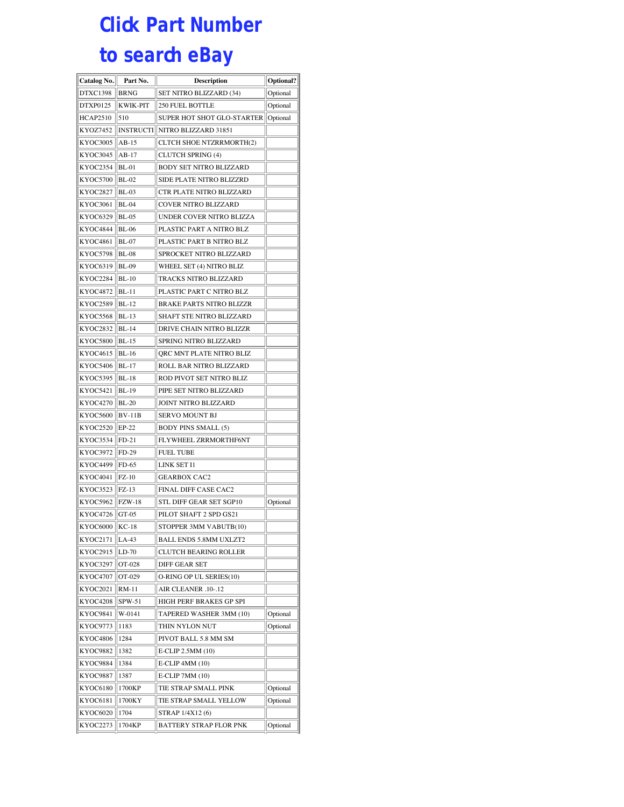## **Click Part Number to search eBay**

| <b>Catalog No.</b> | Part No.         | Description                     | Optional? |
|--------------------|------------------|---------------------------------|-----------|
| DTXC1398           | <b>BRNG</b>      | SET NITRO BLIZZARD (34)         | Optional  |
| DTXP0125           | <b>KWIK-PIT</b>  | <b>250 FUEL BOTTLE</b>          | Optional  |
| <b>HCAP2510</b>    | 510              | SUPER HOT SHOT GLO-STARTER      | Optional  |
| KYOZ7452           | <b>INSTRUCTI</b> | NITRO BLIZZARD 31851            |           |
| <b>KYOC3005</b>    | $AB-15$          | <b>CLTCH SHOE NTZRRMORTH(2)</b> |           |
| KYOC3045           | AB-17            | <b>CLUTCH SPRING (4)</b>        |           |
| KYOC2354           | BL-01            | BODY SET NITRO BLIZZARD         |           |
| KYOC5700           | $BL-02$          | SIDE PLATE NITRO BLIZZRD        |           |
| <b>KYOC2827</b>    | <b>BL-03</b>     | CTR PLATE NITRO BLIZZARD        |           |
| KYOC3061           | <b>BL-04</b>     | COVER NITRO BLIZZARD            |           |
| KYOC6329           | <b>BL-05</b>     | UNDER COVER NITRO BLIZZA        |           |
| <b>KYOC4844</b>    | <b>BL-06</b>     | PLASTIC PART A NITRO BLZ        |           |
| <b>KYOC4861</b>    | <b>BL-07</b>     | PLASTIC PART B NITRO BLZ        |           |
| <b>KYOC5798</b>    | <b>BL-08</b>     | SPROCKET NITRO BLIZZARD         |           |
| KYOC6319           | <b>BL-09</b>     | WHEEL SET (4) NITRO BLIZ        |           |
| KYOC2284           | $BL-10$          | TRACKS NITRO BLIZZARD           |           |
| KYOC4872           | $BL-11$          | PLASTIC PART C NITRO BLZ        |           |
| KYOC2589           | BL-12            | BRAKE PARTS NITRO BLIZZR        |           |
| <b>KYOC5568</b>    | $BL-13$          | SHAFT STE NITRO BLIZZARD        |           |
| KYOC2832           | $BL-14$          | DRIVE CHAIN NITRO BLIZZR        |           |
| <b>KYOC5800</b>    | $BL-15$          | SPRING NITRO BLIZZARD           |           |
| KYOC4615           | $BL-16$          | ORC MNT PLATE NITRO BLIZ        |           |
| KYOC5406           | $BL-17$          | ROLL BAR NITRO BLIZZARD         |           |
| KYOC5395           | <b>BL-18</b>     | ROD PIVOT SET NITRO BLIZ        |           |
| <b>KYOC5421</b>    | <b>BL-19</b>     | PIPE SET NITRO BLIZZARD         |           |
| <b>KYOC4270</b>    | $BL-20$          | JOINT NITRO BLIZZARD            |           |
| <b>KYOC5600</b>    | <b>BV-11B</b>    | SERVO MOUNT BJ                  |           |
| <b>KYOC2520</b>    | $EP-22$          | <b>BODY PINS SMALL (5)</b>      |           |
| KYOC3534           | $FD-21$          | FLYWHEEL ZRRMORTHF6NT           |           |
| KYOC3972           | FD-29            | <b>FUEL TUBE</b>                |           |
| KYOC4499           | FD-65            | LINK SET I1                     |           |
| <b>KYOC4041</b>    | $FZ-10$          | <b>GEARBOX CAC2</b>             |           |
| KYOC3523           | $FZ-13$          | FINAL DIFF CASE CAC2            |           |
| KYOC5962           | <b>FZW-18</b>    | STL DIFF GEAR SET SGP10         | Optional  |
| <b>KYOC4726</b>    | GT-05            | PILOT SHAFT 2 SPD GS21          |           |
| <b>KYOC6000</b>    | $KC-18$          | STOPPER 3MM VABUTB(10)          |           |
| KYOC2171           | $LA-43$          | <b>BALL ENDS 5.8MM UXLZT2</b>   |           |
| KYOC2915           | LD-70            | <b>CLUTCH BEARING ROLLER</b>    |           |
| KYOC3297           | OT-028           | DIFF GEAR SET                   |           |
| <b>KYOC4707</b>    | OT-029           | O-RING OP UL SERIES(10)         |           |
| KYOC2021           | $RM-11$          | AIR CLEANER .10-.12             |           |
| KYOC4208           | SPW-51           | HIGH PERF BRAKES GP SPI         |           |
| KYOC9841           | W-0141           | TAPERED WASHER 3MM (10)         | Optional  |
| KYOC9773           | 1183             | THIN NYLON NUT                  | Optional  |
| KYOC4806           | 1284             | PIVOT BALL 5.8 MM SM            |           |
| KYOC9882           | 1382             | E-CLIP 2.5MM (10)               |           |
| KYOC9884           | 1384             | E-CLIP 4MM (10)                 |           |
| KYOC9887           | 1387             | E-CLIP 7MM (10)                 |           |
| <b>KYOC6180</b>    | 1700KP           | TIE STRAP SMALL PINK            | Optional  |
| <b>KYOC6181</b>    | 1700KY           | TIE STRAP SMALL YELLOW          | Optional  |
| KYOC6020           | 1704             | STRAP 1/4X12 (6)                |           |
| KYOC2273           | 1704KP           | BATTERY STRAP FLOR PNK          | Optional  |